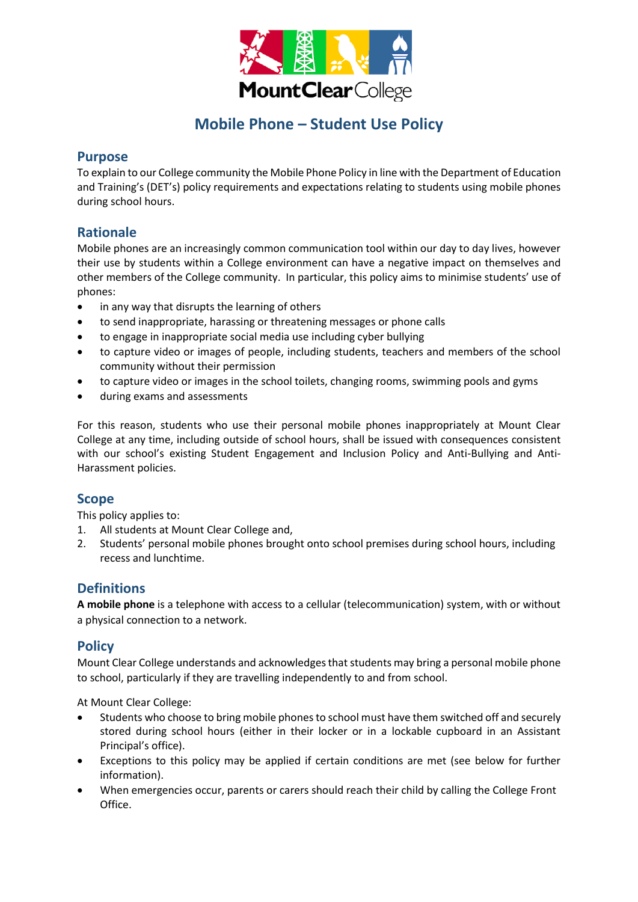

# **Mobile Phone – Student Use Policy**

### **Purpose**

To explain to our College community the Mobile Phone Policy in line with the Department of Education and Training's (DET's) policy requirements and expectations relating to students using mobile phones during school hours.

# **Rationale**

Mobile phones are an increasingly common communication tool within our day to day lives, however their use by students within a College environment can have a negative impact on themselves and other members of the College community. In particular, this policy aims to minimise students' use of phones:

- in any way that disrupts the learning of others
- to send inappropriate, harassing or threatening messages or phone calls
- to engage in inappropriate social media use including cyber bullying
- to capture video or images of people, including students, teachers and members of the school community without their permission
- to capture video or images in the school toilets, changing rooms, swimming pools and gyms
- during exams and assessments

For this reason, students who use their personal mobile phones inappropriately at Mount Clear College at any time, including outside of school hours, shall be issued with consequences consistent with our school's existing Student Engagement and Inclusion Policy and Anti-Bullying and Anti-Harassment policies.

## **Scope**

This policy applies to:

- 1. All students at Mount Clear College and,
- 2. Students' personal mobile phones brought onto school premises during school hours, including recess and lunchtime.

## **Definitions**

**A mobile phone** is a telephone with access to a cellular (telecommunication) system, with or without a physical connection to a network.

## **Policy**

Mount Clear College understands and acknowledges that students may bring a personal mobile phone to school, particularly if they are travelling independently to and from school.

At Mount Clear College:

- Students who choose to bring mobile phones to school must have them switched off and securely stored during school hours (either in their locker or in a lockable cupboard in an Assistant Principal's office).
- Exceptions to this policy may be applied if certain conditions are met (see below for further information).
- When emergencies occur, parents or carers should reach their child by calling the College Front Office.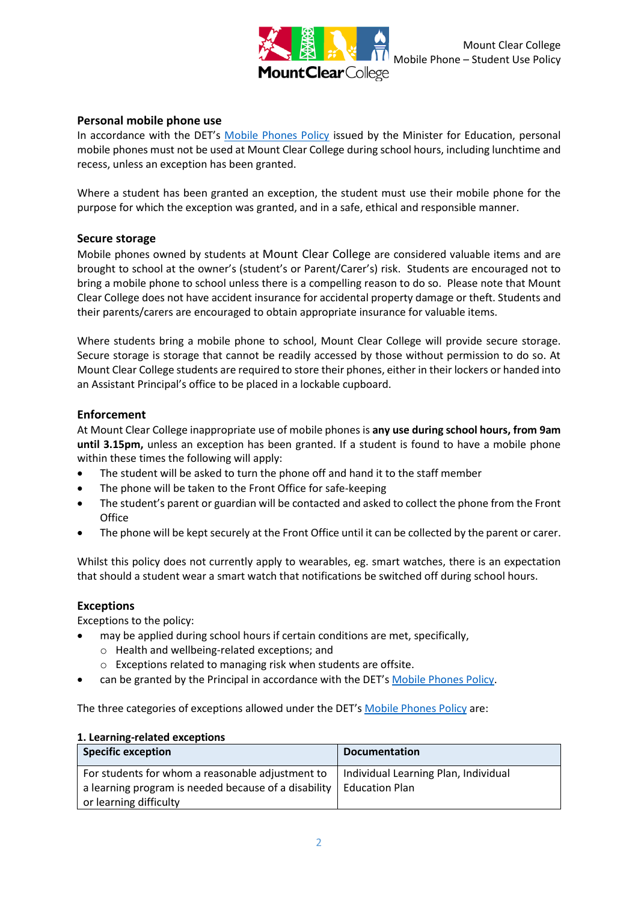

### **Personal mobile phone use**

In accordance with the DET's [Mobile Phones Policy](https://www.education.vic.gov.au/school/principals/spag/safety/Pages/mobilephones.aspx) issued by the Minister for Education, personal mobile phones must not be used at Mount Clear College during school hours, including lunchtime and recess, unless an exception has been granted.

Where a student has been granted an exception, the student must use their mobile phone for the purpose for which the exception was granted, and in a safe, ethical and responsible manner.

#### **Secure storage**

Mobile phones owned by students at Mount Clear College are considered valuable items and are brought to school at the owner's (student's or Parent/Carer's) risk. Students are encouraged not to bring a mobile phone to school unless there is a compelling reason to do so. Please note that Mount Clear College does not have accident insurance for accidental property damage or theft. Students and their parents/carers are encouraged to obtain appropriate insurance for valuable items.

Where students bring a mobile phone to school, Mount Clear College will provide secure storage. Secure storage is storage that cannot be readily accessed by those without permission to do so. At Mount Clear College students are required to store their phones, either in their lockers or handed into an Assistant Principal's office to be placed in a lockable cupboard.

#### **Enforcement**

At Mount Clear College inappropriate use of mobile phones is **any use during school hours, from 9am until 3.15pm,** unless an exception has been granted. If a student is found to have a mobile phone within these times the following will apply:

- The student will be asked to turn the phone off and hand it to the staff member
- The phone will be taken to the Front Office for safe-keeping
- The student's parent or guardian will be contacted and asked to collect the phone from the Front **Office**
- The phone will be kept securely at the Front Office until it can be collected by the parent or carer.

Whilst this policy does not currently apply to wearables, eg. smart watches, there is an expectation that should a student wear a smart watch that notifications be switched off during school hours.

#### **Exceptions**

Exceptions to the policy:

- may be applied during school hours if certain conditions are met, specifically,
	- o Health and wellbeing-related exceptions; and
	- o Exceptions related to managing risk when students are offsite.
- can be granted by the Principal in accordance with the DET's [Mobile Phones Policy.](https://www.education.vic.gov.au/school/principals/spag/safety/Pages/mobilephones.aspx)

The three categories of exceptions allowed under the DET's [Mobile Phones Policy](https://www.education.vic.gov.au/school/principals/spag/safety/Pages/mobilephones.aspx) are:

#### **1. Learning-related exceptions**

| <b>Specific exception</b>                            | <b>Documentation</b>                 |
|------------------------------------------------------|--------------------------------------|
| For students for whom a reasonable adjustment to     | Individual Learning Plan, Individual |
| a learning program is needed because of a disability | Education Plan                       |
| or learning difficulty                               |                                      |